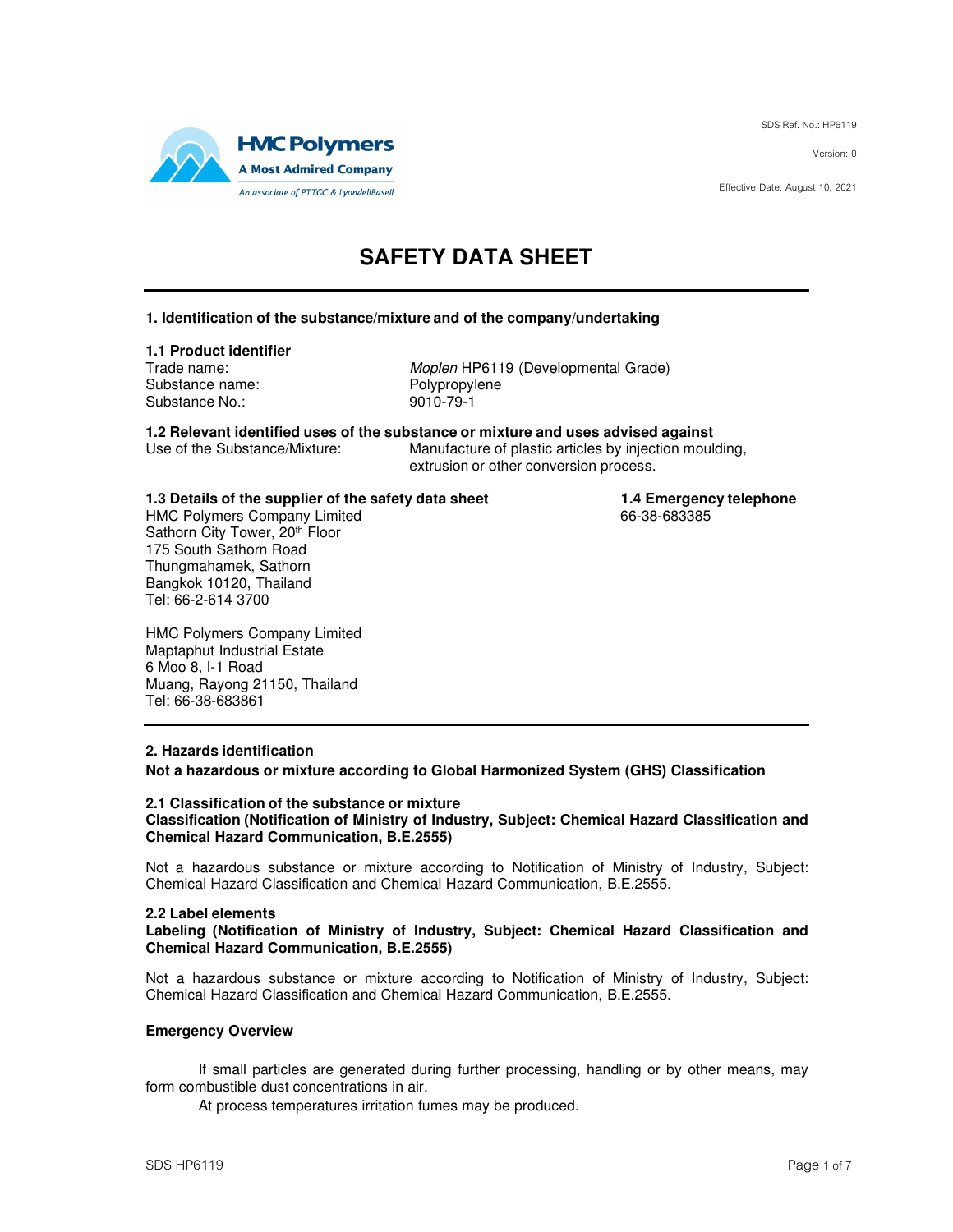SDS Ref. No.: HP6119

Version: 0

Effective Date: August 10, 2021



# **SAFETY DATA SHEET**

## **1. Identification of the substance/mixture and of the company/undertaking**

# **1.1 Product identifier**

Substance name: The Polypropylenes<br>Substance No.: The Polypropyleness of the Polypropyleness Substance No.:

Moplen HP6119 (Developmental Grade)<br>Polypropylene

**1.2 Relevant identified uses of the substance or mixture and uses advised against** Manufacture of plastic articles by injection moulding,

extrusion or other conversion process.

# **1.3 Details of the supplier of the safety data sheet <b>1.4 Emergency telephone**<br>HMC Polymers Company Limited

HMC Polymers Company Limited Sathorn City Tower, 20<sup>th</sup> Floor 175 South Sathorn Road Thungmahamek, Sathorn Bangkok 10120, Thailand Tel: 66-2-614 3700

HMC Polymers Company Limited Maptaphut Industrial Estate 6 Moo 8, I-1 Road Muang, Rayong 21150, Thailand Tel: 66-38-683861

## **2. Hazards identification**

**Not a hazardous or mixture according to Global Harmonized System (GHS) Classification** 

### **2.1 Classification of the substance or mixture Classification (Notification of Ministry of Industry, Subject: Chemical Hazard Classification and Chemical Hazard Communication, B.E.2555)**

Not a hazardous substance or mixture according to Notification of Ministry of Industry, Subject: Chemical Hazard Classification and Chemical Hazard Communication, B.E.2555.

### **2.2 Label elements**

## **Labeling (Notification of Ministry of Industry, Subject: Chemical Hazard Classification and Chemical Hazard Communication, B.E.2555)**

Not a hazardous substance or mixture according to Notification of Ministry of Industry, Subject: Chemical Hazard Classification and Chemical Hazard Communication, B.E.2555.

### **Emergency Overview**

If small particles are generated during further processing, handling or by other means, may form combustible dust concentrations in air.

At process temperatures irritation fumes may be produced.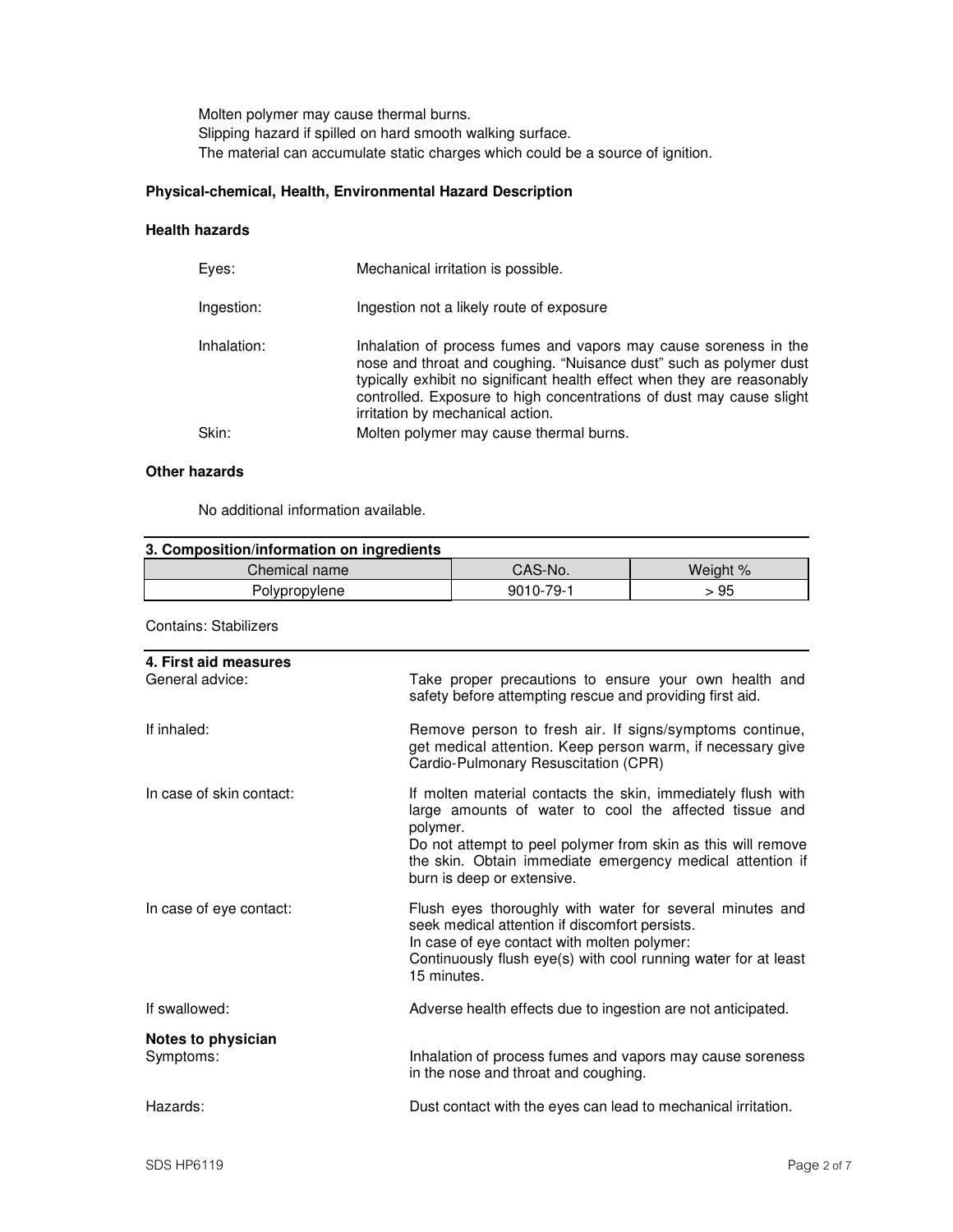Molten polymer may cause thermal burns. Slipping hazard if spilled on hard smooth walking surface. The material can accumulate static charges which could be a source of ignition.

## **Physical-chemical, Health, Environmental Hazard Description**

## **Health hazards**

|             | Mechanical irritation is possible.                                                                                                                                                                                                                                                                                            |
|-------------|-------------------------------------------------------------------------------------------------------------------------------------------------------------------------------------------------------------------------------------------------------------------------------------------------------------------------------|
| Ingestion:  | Ingestion not a likely route of exposure                                                                                                                                                                                                                                                                                      |
| Inhalation: | Inhalation of process fumes and vapors may cause soreness in the<br>nose and throat and coughing. "Nuisance dust" such as polymer dust<br>typically exhibit no significant health effect when they are reasonably<br>controlled. Exposure to high concentrations of dust may cause slight<br>irritation by mechanical action. |
| Skin:       | Molten polymer may cause thermal burns.                                                                                                                                                                                                                                                                                       |

## **Other hazards**

No additional information available.

| 3. Composition/information on ingredients |           |          |
|-------------------------------------------|-----------|----------|
| Chemical name                             | CAS-No.   | Weight % |
| Polypropylene                             | 9010-79-1 | 95       |

Contains: Stabilizers

| 4. First aid measures<br>General advice: | Take proper precautions to ensure your own health and<br>safety before attempting rescue and providing first aid.                                                                                                                                                                             |
|------------------------------------------|-----------------------------------------------------------------------------------------------------------------------------------------------------------------------------------------------------------------------------------------------------------------------------------------------|
| If inhaled:                              | Remove person to fresh air. If signs/symptoms continue,<br>get medical attention. Keep person warm, if necessary give<br>Cardio-Pulmonary Resuscitation (CPR)                                                                                                                                 |
| In case of skin contact:                 | If molten material contacts the skin, immediately flush with<br>large amounts of water to cool the affected tissue and<br>polymer.<br>Do not attempt to peel polymer from skin as this will remove<br>the skin. Obtain immediate emergency medical attention if<br>burn is deep or extensive. |
| In case of eye contact:                  | Flush eyes thoroughly with water for several minutes and<br>seek medical attention if discomfort persists.<br>In case of eye contact with molten polymer:<br>Continuously flush eye(s) with cool running water for at least<br>15 minutes.                                                    |
| If swallowed:                            | Adverse health effects due to ingestion are not anticipated.                                                                                                                                                                                                                                  |
| Notes to physician<br>Symptoms:          | Inhalation of process fumes and vapors may cause soreness<br>in the nose and throat and coughing.                                                                                                                                                                                             |
| Hazards:                                 | Dust contact with the eyes can lead to mechanical irritation.                                                                                                                                                                                                                                 |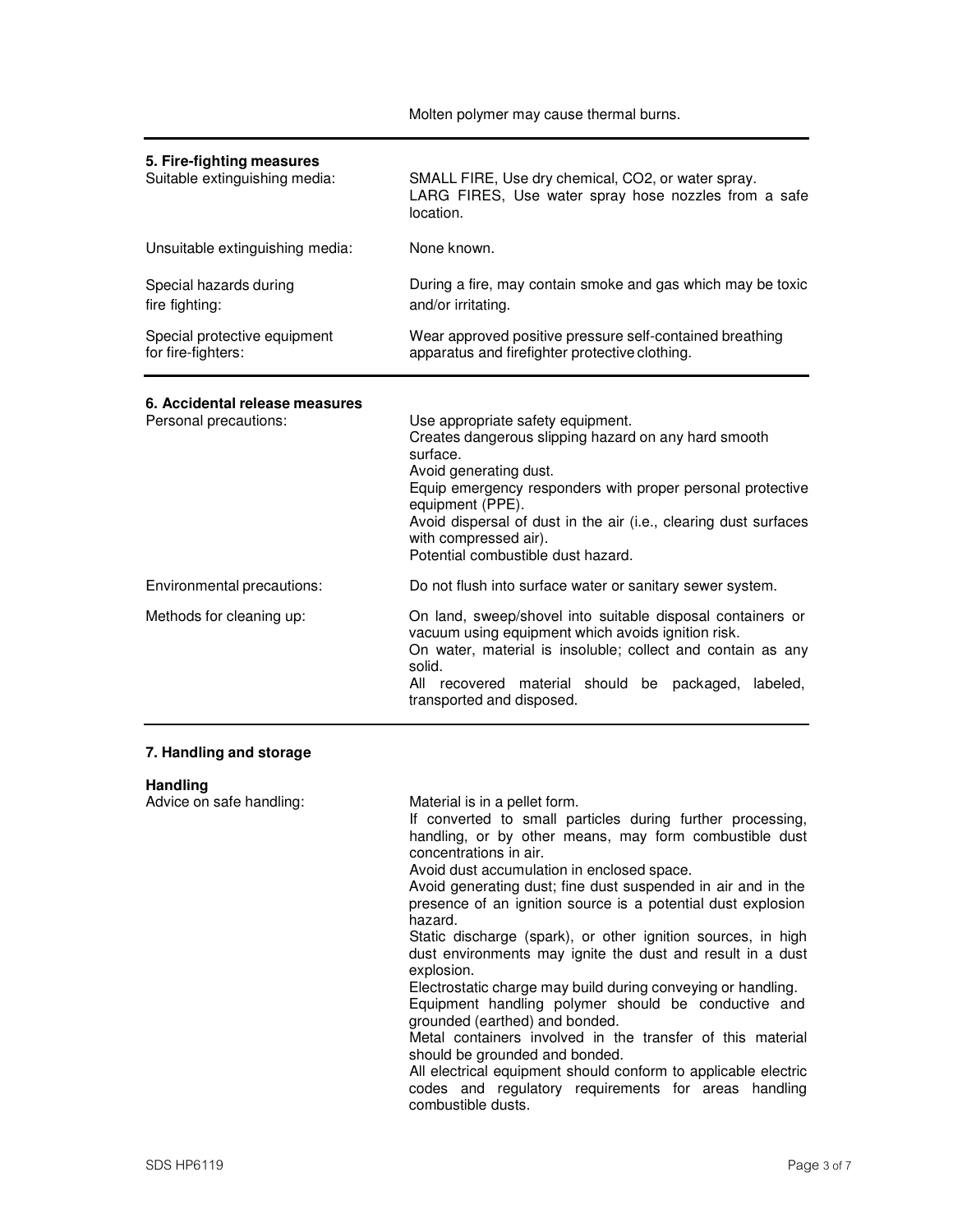Molten polymer may cause thermal burns.

| 5. Fire-fighting measures<br>Suitable extinguishing media: | SMALL FIRE, Use dry chemical, CO2, or water spray.<br>LARG FIRES, Use water spray hose nozzles from a safe<br>location.                                                                                                                                                                                                                              |
|------------------------------------------------------------|------------------------------------------------------------------------------------------------------------------------------------------------------------------------------------------------------------------------------------------------------------------------------------------------------------------------------------------------------|
| Unsuitable extinguishing media:                            | None known.                                                                                                                                                                                                                                                                                                                                          |
| Special hazards during<br>fire fighting:                   | During a fire, may contain smoke and gas which may be toxic<br>and/or irritating.                                                                                                                                                                                                                                                                    |
| Special protective equipment<br>for fire-fighters:         | Wear approved positive pressure self-contained breathing<br>apparatus and firefighter protective clothing.                                                                                                                                                                                                                                           |
| 6. Accidental release measures<br>Personal precautions:    | Use appropriate safety equipment.<br>Creates dangerous slipping hazard on any hard smooth<br>surface.<br>Avoid generating dust.<br>Equip emergency responders with proper personal protective<br>equipment (PPE).<br>Avoid dispersal of dust in the air (i.e., clearing dust surfaces<br>with compressed air).<br>Potential combustible dust hazard. |
| Environmental precautions:                                 | Do not flush into surface water or sanitary sewer system.                                                                                                                                                                                                                                                                                            |
| Methods for cleaning up:                                   | On land, sweep/shovel into suitable disposal containers or<br>vacuum using equipment which avoids ignition risk.<br>On water, material is insoluble; collect and contain as any<br>solid.<br>All recovered material should be<br>packaged,<br>labeled,<br>transported and disposed.                                                                  |

## **7. Handling and storage**

| <b>Handling</b>          |                                                                                                                                                                                                                                                                                                                                                                          |
|--------------------------|--------------------------------------------------------------------------------------------------------------------------------------------------------------------------------------------------------------------------------------------------------------------------------------------------------------------------------------------------------------------------|
| Advice on safe handling: | Material is in a pellet form.<br>If converted to small particles during further processing,<br>handling, or by other means, may form combustible dust<br>concentrations in air.<br>Avoid dust accumulation in enclosed space.<br>Avoid generating dust; fine dust suspended in air and in the<br>presence of an ignition source is a potential dust explosion<br>hazard. |
|                          | Static discharge (spark), or other ignition sources, in high<br>dust environments may ignite the dust and result in a dust<br>explosion.                                                                                                                                                                                                                                 |
|                          | Electrostatic charge may build during conveying or handling.<br>Equipment handling polymer should be conductive and<br>grounded (earthed) and bonded.                                                                                                                                                                                                                    |
|                          | Metal containers involved in the transfer of this material<br>should be grounded and bonded.                                                                                                                                                                                                                                                                             |
|                          | All electrical equipment should conform to applicable electric<br>codes and regulatory requirements for areas handling<br>combustible dusts.                                                                                                                                                                                                                             |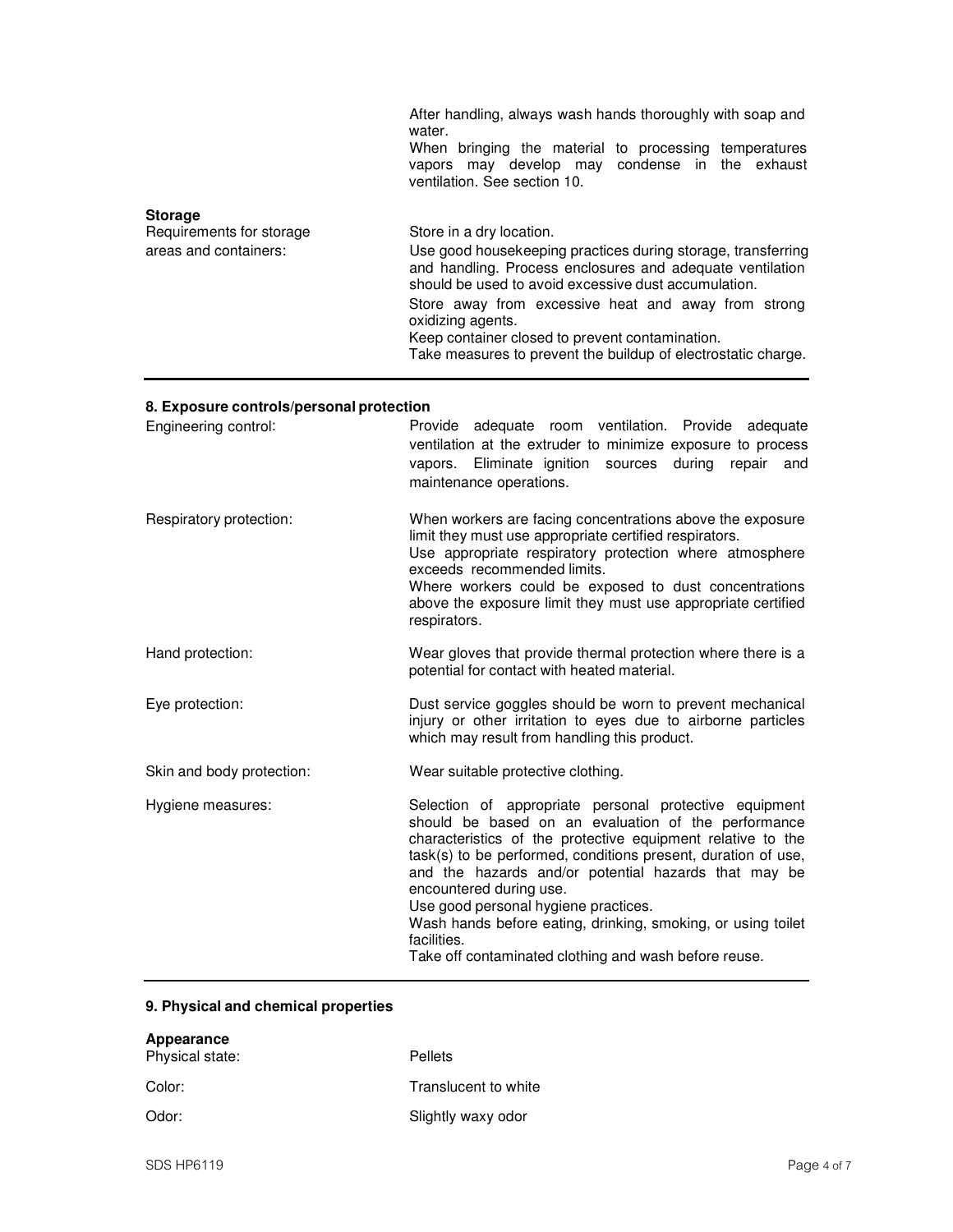|                                                                     | After handling, always wash hands thoroughly with soap and<br>water.<br>When bringing the material to processing temperatures<br>vapors may develop may condense in the exhaust<br>ventilation. See section 10.                                                                                                                                                                                               |
|---------------------------------------------------------------------|---------------------------------------------------------------------------------------------------------------------------------------------------------------------------------------------------------------------------------------------------------------------------------------------------------------------------------------------------------------------------------------------------------------|
| <b>Storage</b><br>Requirements for storage<br>areas and containers: | Store in a dry location.<br>Use good housekeeping practices during storage, transferring<br>and handling. Process enclosures and adequate ventilation<br>should be used to avoid excessive dust accumulation.<br>Store away from excessive heat and away from strong<br>oxidizing agents.<br>Keep container closed to prevent contamination.<br>Take measures to prevent the buildup of electrostatic charge. |

# **8. Exposure controls/personal protection**

| Engineering control:      | Provide adequate room ventilation. Provide adequate<br>ventilation at the extruder to minimize exposure to process<br>during<br>vapors. Eliminate ignition sources<br>repair<br>and<br>maintenance operations.                                                                                                                                                                                                                                                                                                   |
|---------------------------|------------------------------------------------------------------------------------------------------------------------------------------------------------------------------------------------------------------------------------------------------------------------------------------------------------------------------------------------------------------------------------------------------------------------------------------------------------------------------------------------------------------|
| Respiratory protection:   | When workers are facing concentrations above the exposure<br>limit they must use appropriate certified respirators.<br>Use appropriate respiratory protection where atmosphere<br>exceeds recommended limits.<br>Where workers could be exposed to dust concentrations<br>above the exposure limit they must use appropriate certified<br>respirators.                                                                                                                                                           |
| Hand protection:          | Wear gloves that provide thermal protection where there is a<br>potential for contact with heated material.                                                                                                                                                                                                                                                                                                                                                                                                      |
| Eye protection:           | Dust service goggles should be worn to prevent mechanical<br>injury or other irritation to eyes due to airborne particles<br>which may result from handling this product.                                                                                                                                                                                                                                                                                                                                        |
| Skin and body protection: | Wear suitable protective clothing.                                                                                                                                                                                                                                                                                                                                                                                                                                                                               |
| Hygiene measures:         | Selection of appropriate personal protective equipment<br>should be based on an evaluation of the performance<br>characteristics of the protective equipment relative to the<br>task(s) to be performed, conditions present, duration of use,<br>and the hazards and/or potential hazards that may be<br>encountered during use.<br>Use good personal hygiene practices.<br>Wash hands before eating, drinking, smoking, or using toilet<br>facilities.<br>Take off contaminated clothing and wash before reuse. |

# **9. Physical and chemical properties**

| Appearance<br>Physical state: | <b>Pellets</b>       |
|-------------------------------|----------------------|
| Color:                        | Translucent to white |
| Odor:                         | Slightly waxy odor   |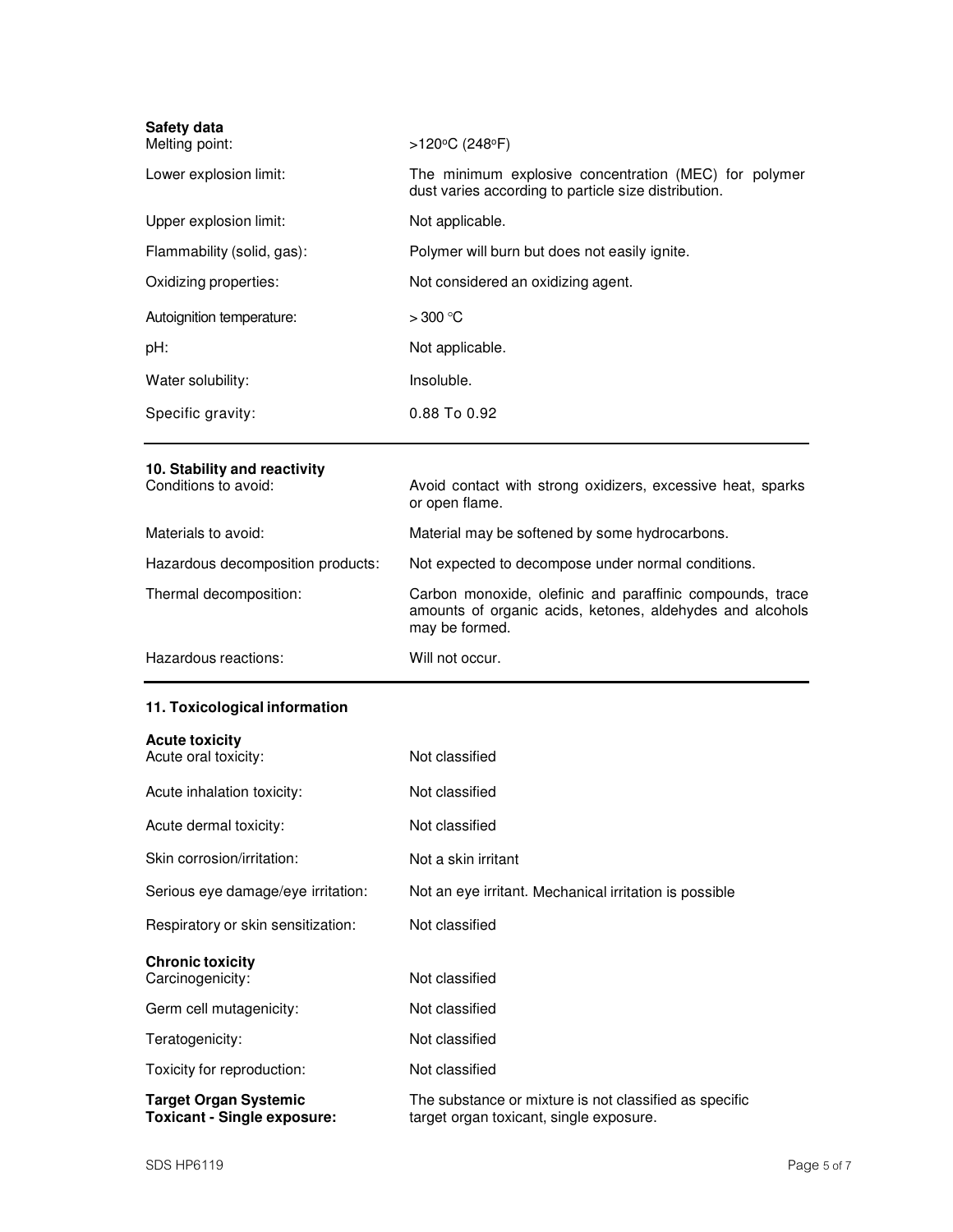| Safety data<br>Melting point:                        | >120°C (248°F)                                                                                                                           |
|------------------------------------------------------|------------------------------------------------------------------------------------------------------------------------------------------|
| Lower explosion limit:                               | The minimum explosive concentration (MEC) for polymer<br>dust varies according to particle size distribution.                            |
| Upper explosion limit:                               | Not applicable.                                                                                                                          |
| Flammability (solid, gas):                           | Polymer will burn but does not easily ignite.                                                                                            |
| Oxidizing properties:                                | Not considered an oxidizing agent.                                                                                                       |
| Autoignition temperature:                            | $>300$ °C                                                                                                                                |
| pH:                                                  | Not applicable.                                                                                                                          |
| Water solubility:                                    | Insoluble.                                                                                                                               |
| Specific gravity:                                    | 0.88 To 0.92                                                                                                                             |
| 10. Stability and reactivity<br>Conditions to avoid: | Avoid contact with strong oxidizers, excessive heat, sparks<br>or open flame.                                                            |
| Materials to avoid:                                  | Material may be softened by some hydrocarbons.                                                                                           |
| Hazardous decomposition products:                    | Not expected to decompose under normal conditions.                                                                                       |
| Thermal decomposition:                               | Carbon monoxide, olefinic and paraffinic compounds, trace<br>amounts of organic acids, ketones, aldehydes and alcohols<br>may be formed. |
| Hazardous reactions:                                 | Will not occur.                                                                                                                          |
| 11. Toxicological information                        |                                                                                                                                          |
| <b>Acute toxicity</b>                                |                                                                                                                                          |
| Acute oral toxicity:                                 | Not classified                                                                                                                           |
| Acute inhalation toxicity:                           | Not classified                                                                                                                           |
| Acute dermal toxicity:                               | Not classified                                                                                                                           |

| Skin corrosion/irritation: | Not a skin irritant |
|----------------------------|---------------------|
|                            |                     |

| Serious eye damage/eye irritation: | Not an eye irritant. Mechanical irritation is possible |
|------------------------------------|--------------------------------------------------------|
|------------------------------------|--------------------------------------------------------|

Not classified

| Respiratory or skin sensitization: |
|------------------------------------|
|------------------------------------|

| <b>Chronic toxicity</b> |                |  |
|-------------------------|----------------|--|
| Carcinogenicity:        | Not classified |  |
| Germ cell mutagenicity: | Not classified |  |
| Teratogenicity:         | Not classified |  |

Toxicity for reproduction: Not classified

**Target Organ Systemic** The substance or mixture is not classified as specific **Toxicant - Single exposure:** target organ toxicant, single exposure.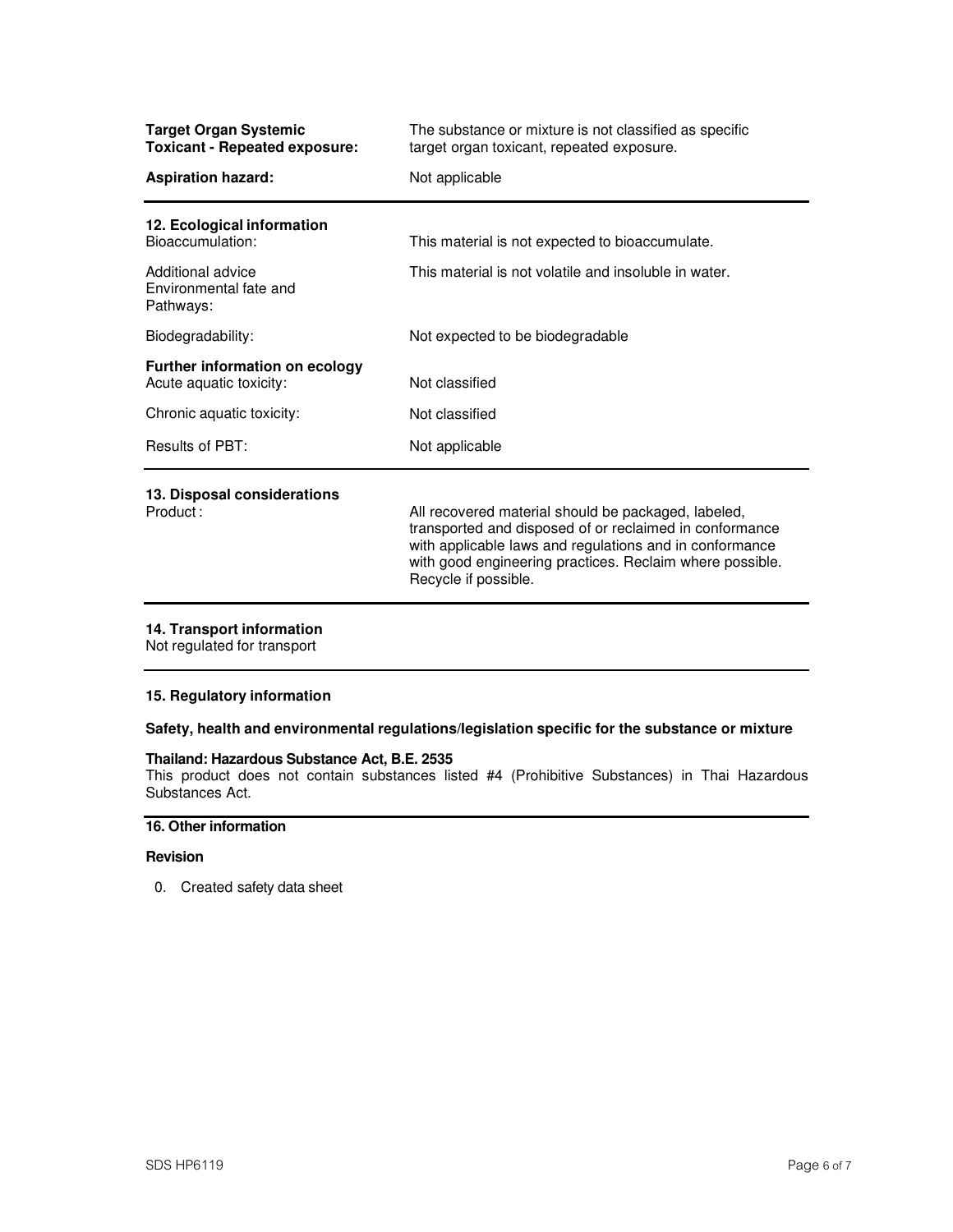| <b>Target Organ Systemic</b><br><b>Toxicant - Repeated exposure:</b> | The substance or mixture is not classified as specific<br>target organ toxicant, repeated exposure.                                                                                                                                                           |
|----------------------------------------------------------------------|---------------------------------------------------------------------------------------------------------------------------------------------------------------------------------------------------------------------------------------------------------------|
| <b>Aspiration hazard:</b>                                            | Not applicable                                                                                                                                                                                                                                                |
| 12. Ecological information<br>Bioaccumulation:                       | This material is not expected to bioaccumulate.                                                                                                                                                                                                               |
| Additional advice<br>Environmental fate and<br>Pathways:             | This material is not volatile and insoluble in water.                                                                                                                                                                                                         |
| Biodegradability:                                                    | Not expected to be biodegradable                                                                                                                                                                                                                              |
| Further information on ecology<br>Acute aquatic toxicity:            | Not classified                                                                                                                                                                                                                                                |
| Chronic aquatic toxicity:                                            | Not classified                                                                                                                                                                                                                                                |
| Results of PBT:                                                      | Not applicable                                                                                                                                                                                                                                                |
| 13. Disposal considerations<br>Product:                              | All recovered material should be packaged, labeled,<br>transported and disposed of or reclaimed in conformance<br>with applicable laws and regulations and in conformance<br>with good engineering practices. Reclaim where possible.<br>Recycle if possible. |

## **14. Transport information**

Not regulated for transport

## **15. Regulatory information**

## **Safety, health and environmental regulations/legislation specific for the substance or mixture**

#### **Thailand: Hazardous Substance Act, B.E. 2535**

This product does not contain substances listed #4 (Prohibitive Substances) in Thai Hazardous Substances Act.

## **16. Other information**

## **Revision**

0. Created safety data sheet